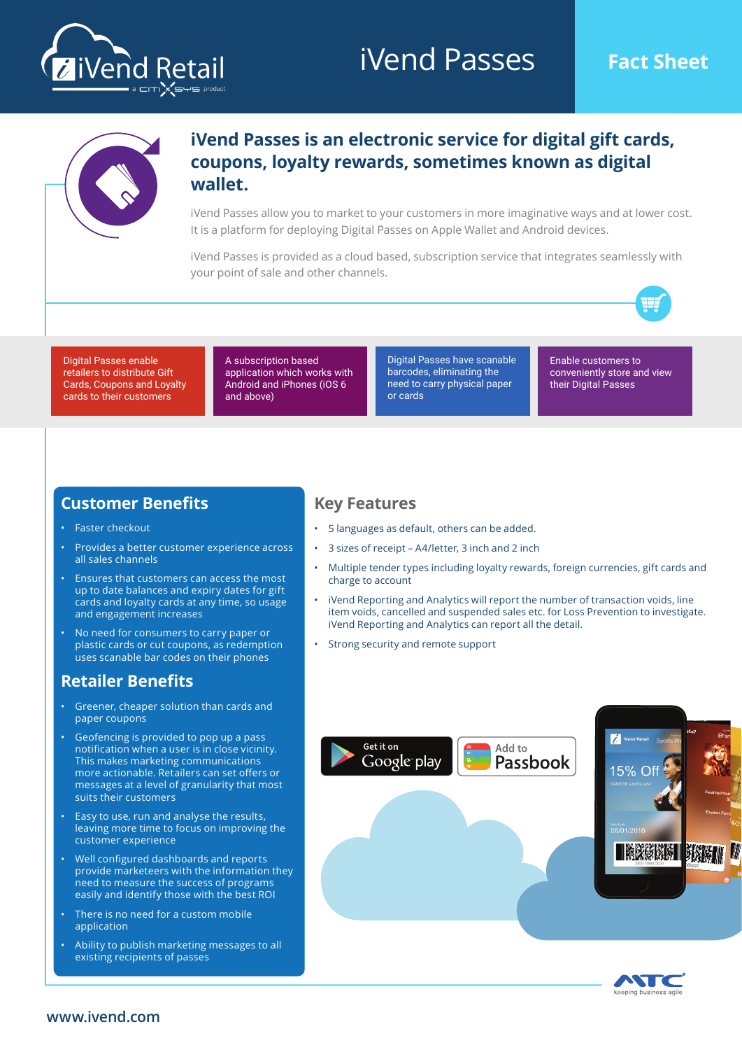# **iVend Passes Fact Sheet**





# **iVend Passes is an electronic service for digital gift cards, coupons, loyalty rewards, sometimes known as digital wallet.**

iVend Passes allow you to market to your customers in more imaginative ways and at lower cost. It is a platform for deploying Digital Passes on Apple Wallet and Android devices.

iVend Passes is provided as a cloud based, subscription service that integrates seamlessly with your point of sale and other channels.



Digital Passes enable retailers to distribute Gift Cards, Coupons and Loyalty cards to their customers

A subscription based application which works with Android and iPhones (iOS 6 and above)

Digital Passes have scanable barcodes, eliminating the need to carry physical paper or cards

Enable customers to conveniently store and view their Digital Passes

#### **Customer Benefits**

- Faster checkout
- Provides a better customer experience across all sales channels
- Ensures that customers can access the most up to date balances and expiry dates for gift cards and loyalty cards at any time, so usage and engagement increases
- No need for consumers to carry paper or plastic cards or cut coupons, as redemption uses scanable bar codes on their phones

# **Retailer Benefits**

- Greener, cheaper solution than cards and paper coupons
- Geofencing is provided to pop up a pass notification when a user is in close vicinity. This makes marketing communications more actionable. Retailers can set offers or messages at a level of granularity that most suits their customers
- Easy to use, run and analyse the results, leaving more time to focus on improving the customer experience
- Well configured dashboards and reports provide marketeers with the information they need to measure the success of programs easily and identify those with the best ROI
- There is no need for a custom mobile application
- Ability to publish marketing messages to all existing recipients of passes

# **Key Features**

- 5 languages as default, others can be added.
- 3 sizes of receipt A4/letter, 3 inch and 2 inch
- Multiple tender types including loyalty rewards, foreign currencies, gift cards and charge to account
- iVend Reporting and Analytics will report the number of transaction voids, line item voids, cancelled and suspended sales etc. for Loss Prevention to investigate. iVend Reporting and Analytics can report all the detail.
- Strong security and remote support





#### **www.ivend.com**